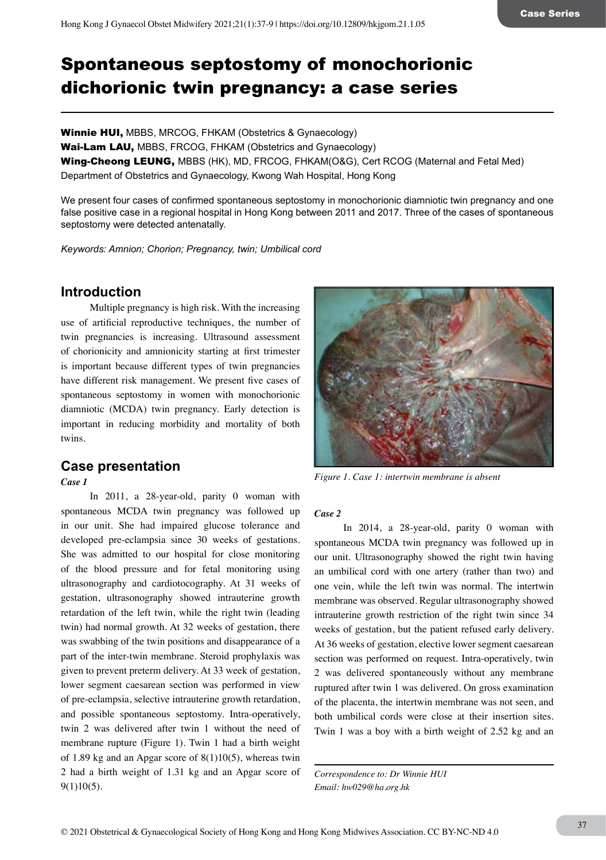# Spontaneous septostomy of monochorionic dichorionic twin pregnancy: a case series

Winnie HUI, MBBS, MRCOG, FHKAM (Obstetrics & Gynaecology) Wai-Lam LAU, MBBS, FRCOG, FHKAM (Obstetrics and Gynaecology) Wing-Cheong LEUNG, MBBS (HK), MD, FRCOG, FHKAM(O&G), Cert RCOG (Maternal and Fetal Med) Department of Obstetrics and Gynaecology, Kwong Wah Hospital, Hong Kong

We present four cases of confirmed spontaneous septostomy in monochorionic diamniotic twin pregnancy and one false positive case in a regional hospital in Hong Kong between 2011 and 2017. Three of the cases of spontaneous septostomy were detected antenatally.

*Keywords: Amnion; Chorion; Pregnancy, twin; Umbilical cord*

# **Introduction**

Multiple pregnancy is high risk. With the increasing use of artificial reproductive techniques, the number of twin pregnancies is increasing. Ultrasound assessment of chorionicity and amnionicity starting at first trimester is important because different types of twin pregnancies have different risk management. We present five cases of spontaneous septostomy in women with monochorionic diamniotic (MCDA) twin pregnancy. Early detection is important in reducing morbidity and mortality of both twins.

# **Case presentation**

*Case 1* 

In 2011, a 28-year-old, parity 0 woman with spontaneous MCDA twin pregnancy was followed up in our unit. She had impaired glucose tolerance and developed pre-eclampsia since 30 weeks of gestations. She was admitted to our hospital for close monitoring of the blood pressure and for fetal monitoring using ultrasonography and cardiotocography. At 31 weeks of gestation, ultrasonography showed intrauterine growth retardation of the left twin, while the right twin (leading twin) had normal growth. At 32 weeks of gestation, there was swabbing of the twin positions and disappearance of a part of the inter-twin membrane. Steroid prophylaxis was given to prevent preterm delivery. At 33 week of gestation, lower segment caesarean section was performed in view of pre-eclampsia, selective intrauterine growth retardation, and possible spontaneous septostomy. Intra-operatively, twin 2 was delivered after twin 1 without the need of membrane rupture (Figure 1). Twin 1 had a birth weight of 1.89 kg and an Apgar score of  $8(1)10(5)$ , whereas twin 2 had a birth weight of 1.31 kg and an Apgar score of 9(1)10(5).



*Figure 1. Case 1: intertwin membrane is absent*

### *Case 2*

In 2014, a 28-year-old, parity 0 woman with spontaneous MCDA twin pregnancy was followed up in our unit. Ultrasonography showed the right twin having an umbilical cord with one artery (rather than two) and one vein, while the left twin was normal. The intertwin membrane was observed. Regular ultrasonography showed intrauterine growth restriction of the right twin since 34 weeks of gestation, but the patient refused early delivery. At 36 weeks of gestation, elective lower segment caesarean section was performed on request. Intra-operatively, twin 2 was delivered spontaneously without any membrane ruptured after twin 1 was delivered. On gross examination of the placenta, the intertwin membrane was not seen, and both umbilical cords were close at their insertion sites. Twin 1 was a boy with a birth weight of 2.52 kg and an

*Correspondence to: Dr Winnie HUI Email: hw029@ha.org.hk*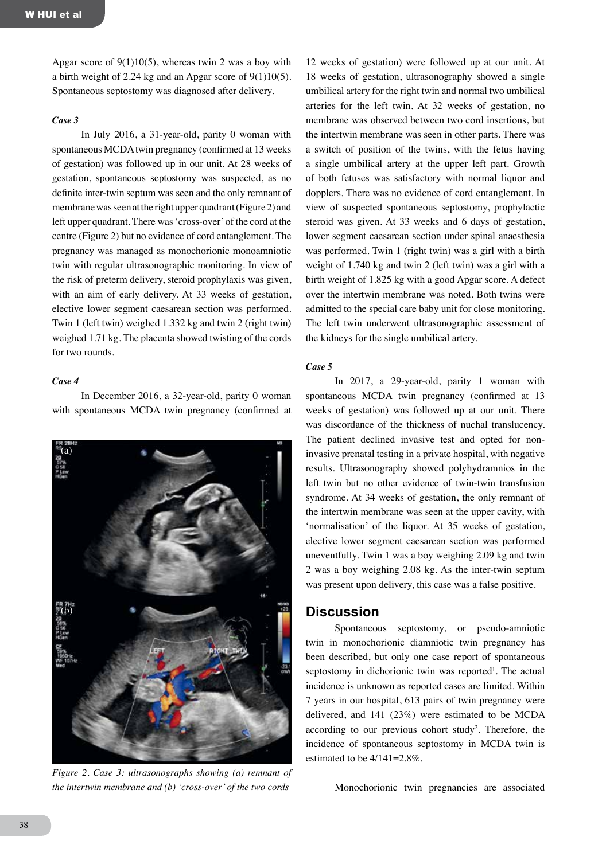Apgar score of  $9(1)10(5)$ , whereas twin 2 was a boy with a birth weight of 2.24 kg and an Apgar score of 9(1)10(5). Spontaneous septostomy was diagnosed after delivery.

#### *Case 3*

In July 2016, a 31-year-old, parity 0 woman with spontaneous MCDA twin pregnancy (confirmed at 13 weeks of gestation) was followed up in our unit. At 28 weeks of gestation, spontaneous septostomy was suspected, as no definite inter-twin septum was seen and the only remnant of membrane was seen at the right upper quadrant (Figure 2) and left upper quadrant. There was 'cross-over' of the cord at the centre (Figure 2) but no evidence of cord entanglement. The pregnancy was managed as monochorionic monoamniotic twin with regular ultrasonographic monitoring. In view of the risk of preterm delivery, steroid prophylaxis was given, with an aim of early delivery. At 33 weeks of gestation, elective lower segment caesarean section was performed. Twin 1 (left twin) weighed 1.332 kg and twin 2 (right twin) weighed 1.71 kg. The placenta showed twisting of the cords for two rounds.

#### *Case 4*

In December 2016, a 32-year-old, parity 0 woman with spontaneous MCDA twin pregnancy (confirmed at



*Figure 2. Case 3: ultrasonographs showing (a) remnant of the intertwin membrane and (b) 'cross-over' of the two cords*

12 weeks of gestation) were followed up at our unit. At 18 weeks of gestation, ultrasonography showed a single umbilical artery for the right twin and normal two umbilical arteries for the left twin. At 32 weeks of gestation, no membrane was observed between two cord insertions, but the intertwin membrane was seen in other parts. There was a switch of position of the twins, with the fetus having a single umbilical artery at the upper left part. Growth of both fetuses was satisfactory with normal liquor and dopplers. There was no evidence of cord entanglement. In view of suspected spontaneous septostomy, prophylactic steroid was given. At 33 weeks and 6 days of gestation, lower segment caesarean section under spinal anaesthesia was performed. Twin 1 (right twin) was a girl with a birth weight of 1.740 kg and twin 2 (left twin) was a girl with a birth weight of 1.825 kg with a good Apgar score. A defect over the intertwin membrane was noted. Both twins were admitted to the special care baby unit for close monitoring. The left twin underwent ultrasonographic assessment of the kidneys for the single umbilical artery.

#### *Case 5*

In 2017, a 29-year-old, parity 1 woman with spontaneous MCDA twin pregnancy (confirmed at 13 weeks of gestation) was followed up at our unit. There was discordance of the thickness of nuchal translucency. The patient declined invasive test and opted for noninvasive prenatal testing in a private hospital, with negative results. Ultrasonography showed polyhydramnios in the left twin but no other evidence of twin-twin transfusion syndrome. At 34 weeks of gestation, the only remnant of the intertwin membrane was seen at the upper cavity, with 'normalisation' of the liquor. At 35 weeks of gestation, elective lower segment caesarean section was performed uneventfully. Twin 1 was a boy weighing 2.09 kg and twin 2 was a boy weighing 2.08 kg. As the inter-twin septum was present upon delivery, this case was a false positive.

### **Discussion**

Spontaneous septostomy, or pseudo-amniotic twin in monochorionic diamniotic twin pregnancy has been described, but only one case report of spontaneous septostomy in dichorionic twin was reported<sup>1</sup>. The actual incidence is unknown as reported cases are limited. Within 7 years in our hospital, 613 pairs of twin pregnancy were delivered, and 141 (23%) were estimated to be MCDA according to our previous cohort study<sup>2</sup>. Therefore, the incidence of spontaneous septostomy in MCDA twin is estimated to be 4/141=2.8%.

Monochorionic twin pregnancies are associated